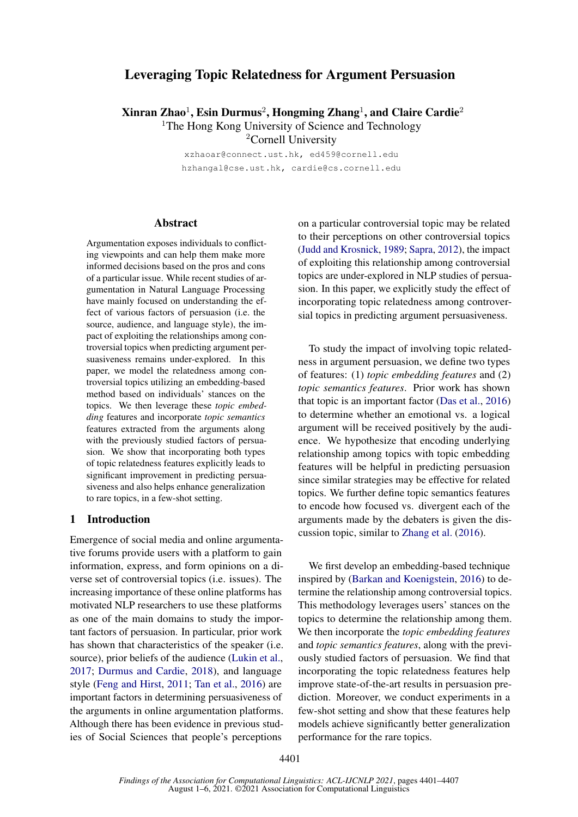# Leveraging Topic Relatedness for Argument Persuasion

 $X$ inran Zhao $^1$ , Esin Durmus $^2$ , Hongming Zhang $^1$ , and Claire Cardie $^2$ <sup>1</sup>The Hong Kong University of Science and Technology <sup>2</sup>Cornell University

xzhaoar@connect.ust.hk, ed459@cornell.edu

hzhangal@cse.ust.hk, cardie@cs.cornell.edu

# Abstract

Argumentation exposes individuals to conflicting viewpoints and can help them make more informed decisions based on the pros and cons of a particular issue. While recent studies of argumentation in Natural Language Processing have mainly focused on understanding the effect of various factors of persuasion (i.e. the source, audience, and language style), the impact of exploiting the relationships among controversial topics when predicting argument persuasiveness remains under-explored. In this paper, we model the relatedness among controversial topics utilizing an embedding-based method based on individuals' stances on the topics. We then leverage these *topic embedding* features and incorporate *topic semantics* features extracted from the arguments along with the previously studied factors of persuasion. We show that incorporating both types of topic relatedness features explicitly leads to significant improvement in predicting persuasiveness and also helps enhance generalization to rare topics, in a few-shot setting.

# 1 Introduction

Emergence of social media and online argumentative forums provide users with a platform to gain information, express, and form opinions on a diverse set of controversial topics (i.e. issues). The increasing importance of these online platforms has motivated NLP researchers to use these platforms as one of the main domains to study the important factors of persuasion. In particular, prior work has shown that characteristics of the speaker (i.e. source), prior beliefs of the audience [\(Lukin et al.,](#page-5-0) [2017;](#page-5-0) [Durmus and Cardie,](#page-4-0) [2018\)](#page-4-0), and language style [\(Feng and Hirst,](#page-5-1) [2011;](#page-5-1) [Tan et al.,](#page-6-0) [2016\)](#page-6-0) are important factors in determining persuasiveness of the arguments in online argumentation platforms. Although there has been evidence in previous studies of Social Sciences that people's perceptions

on a particular controversial topic may be related to their perceptions on other controversial topics [\(Judd and Krosnick,](#page-5-2) [1989;](#page-5-2) [Sapra,](#page-5-3) [2012\)](#page-5-3), the impact of exploiting this relationship among controversial topics are under-explored in NLP studies of persuasion. In this paper, we explicitly study the effect of incorporating topic relatedness among controversial topics in predicting argument persuasiveness.

To study the impact of involving topic relatedness in argument persuasion, we define two types of features: (1) *topic embedding features* and (2) *topic semantics features*. Prior work has shown that topic is an important factor [\(Das et al.,](#page-4-1) [2016\)](#page-4-1) to determine whether an emotional vs. a logical argument will be received positively by the audience. We hypothesize that encoding underlying relationship among topics with topic embedding features will be helpful in predicting persuasion since similar strategies may be effective for related topics. We further define topic semantics features to encode how focused vs. divergent each of the arguments made by the debaters is given the discussion topic, similar to [Zhang et al.](#page-6-1) [\(2016\)](#page-6-1).

We first develop an embedding-based technique inspired by [\(Barkan and Koenigstein,](#page-4-2) [2016\)](#page-4-2) to determine the relationship among controversial topics. This methodology leverages users' stances on the topics to determine the relationship among them. We then incorporate the *topic embedding features* and *topic semantics features*, along with the previously studied factors of persuasion. We find that incorporating the topic relatedness features help improve state-of-the-art results in persuasion prediction. Moreover, we conduct experiments in a few-shot setting and show that these features help models achieve significantly better generalization performance for the rare topics.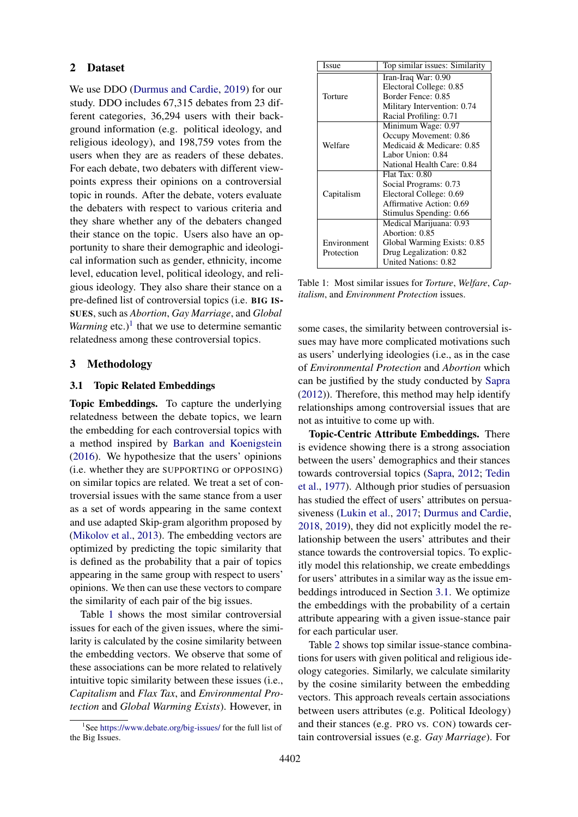### 2 Dataset

We use DDO [\(Durmus and Cardie,](#page-4-3) [2019\)](#page-4-3) for our study. DDO includes 67,315 debates from 23 different categories, 36,294 users with their background information (e.g. political ideology, and religious ideology), and 198,759 votes from the users when they are as readers of these debates. For each debate, two debaters with different viewpoints express their opinions on a controversial topic in rounds. After the debate, voters evaluate the debaters with respect to various criteria and they share whether any of the debaters changed their stance on the topic. Users also have an opportunity to share their demographic and ideological information such as gender, ethnicity, income level, education level, political ideology, and religious ideology. They also share their stance on a pre-defined list of controversial topics (i.e. BIG IS-SUES, such as *Abortion*, *Gay Marriage*, and *Global Warming* etc.)<sup>[1](#page-1-0)</sup> that we use to determine semantic relatedness among these controversial topics.

### 3 Methodology

#### <span id="page-1-2"></span>3.1 Topic Related Embeddings

Topic Embeddings. To capture the underlying relatedness between the debate topics, we learn the embedding for each controversial topics with a method inspired by [Barkan and Koenigstein](#page-4-2) [\(2016\)](#page-4-2). We hypothesize that the users' opinions (i.e. whether they are SUPPORTING or OPPOSING) on similar topics are related. We treat a set of controversial issues with the same stance from a user as a set of words appearing in the same context and use adapted Skip-gram algorithm proposed by [\(Mikolov et al.,](#page-5-4) [2013\)](#page-5-4). The embedding vectors are optimized by predicting the topic similarity that is defined as the probability that a pair of topics appearing in the same group with respect to users' opinions. We then can use these vectors to compare the similarity of each pair of the big issues.

Table [1](#page-1-1) shows the most similar controversial issues for each of the given issues, where the similarity is calculated by the cosine similarity between the embedding vectors. We observe that some of these associations can be more related to relatively intuitive topic similarity between these issues (i.e., *Capitalism* and *Flax Tax*, and *Environmental Protection* and *Global Warming Exists*). However, in

<span id="page-1-1"></span>

| <b>Issue</b> | Top similar issues: Similarity |  |  |
|--------------|--------------------------------|--|--|
|              | Iran-Iraq War: 0.90            |  |  |
|              | Electoral College: 0.85        |  |  |
| Torture      | Border Fence: 0.85             |  |  |
|              | Military Intervention: 0.74    |  |  |
|              | Racial Profiling: 0.71         |  |  |
|              | Minimum Wage: 0.97             |  |  |
| Welfare      | Occupy Movement: 0.86          |  |  |
|              | Medicaid & Medicare: 0.85      |  |  |
|              | Labor Union: 0.84              |  |  |
|              | National Health Care: 0.84     |  |  |
|              | <b>Flat Tax: 0.80</b>          |  |  |
|              | Social Programs: 0.73          |  |  |
| Capitalism   | Electoral College: 0.69        |  |  |
|              | Affirmative Action: 0.69       |  |  |
|              | Stimulus Spending: 0.66        |  |  |
|              | Medical Marijuana: 0.93        |  |  |
| Environment  | Abortion: 0.85                 |  |  |
|              | Global Warming Exists: 0.85    |  |  |
| Protection   | Drug Legalization: 0.82        |  |  |
|              | <b>United Nations: 0.82</b>    |  |  |

Table 1: Most similar issues for *Torture*, *Welfare*, *Capitalism*, and *Environment Protection* issues.

some cases, the similarity between controversial issues may have more complicated motivations such as users' underlying ideologies (i.e., as in the case of *Environmental Protection* and *Abortion* which can be justified by the study conducted by [Sapra](#page-5-3) [\(2012\)](#page-5-3)). Therefore, this method may help identify relationships among controversial issues that are not as intuitive to come up with.

Topic-Centric Attribute Embeddings. There is evidence showing there is a strong association between the users' demographics and their stances towards controversial topics [\(Sapra,](#page-5-3) [2012;](#page-5-3) [Tedin](#page-6-2) [et al.,](#page-6-2) [1977\)](#page-6-2). Although prior studies of persuasion has studied the effect of users' attributes on persuasiveness [\(Lukin et al.,](#page-5-0) [2017;](#page-5-0) [Durmus and Cardie,](#page-4-0) [2018,](#page-4-0) [2019\)](#page-4-3), they did not explicitly model the relationship between the users' attributes and their stance towards the controversial topics. To explicitly model this relationship, we create embeddings for users' attributes in a similar way as the issue embeddings introduced in Section [3.1.](#page-1-2) We optimize the embeddings with the probability of a certain attribute appearing with a given issue-stance pair for each particular user.

Table [2](#page-2-0) shows top similar issue-stance combinations for users with given political and religious ideology categories. Similarly, we calculate similarity by the cosine similarity between the embedding vectors. This approach reveals certain associations between users attributes (e.g. Political Ideology) and their stances (e.g. PRO vs. CON) towards certain controversial issues (e.g. *Gay Marriage*). For

<span id="page-1-0"></span><sup>&</sup>lt;sup>1</sup>See <https://www.debate.org/big-issues/> for the full list of the Big Issues.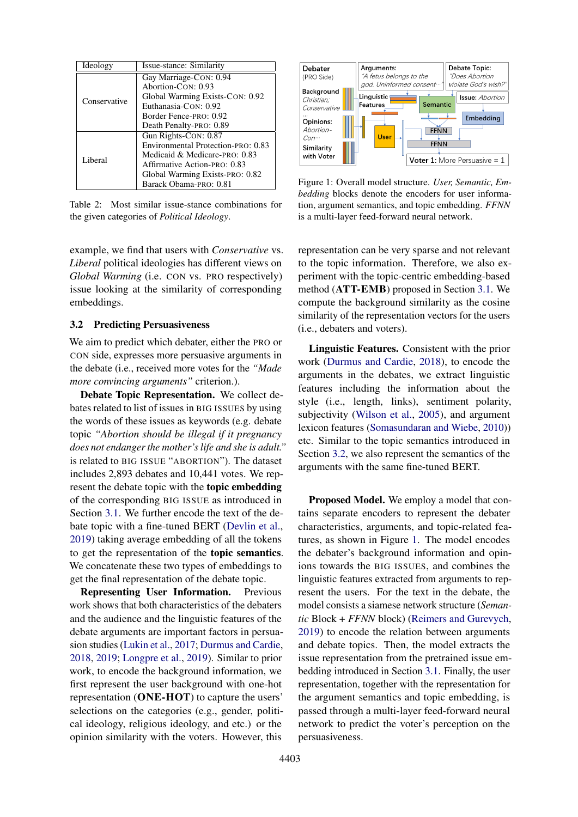<span id="page-2-0"></span>

| Ideology     | Issue-stance: Similarity           |
|--------------|------------------------------------|
| Conservative | Gay Marriage-CON: 0.94             |
|              | Abortion-CON: 0.93                 |
|              | Global Warming Exists-CON: 0.92    |
|              | Euthanasia-CON: 0.92               |
|              | Border Fence-PRO: 0.92             |
|              | Death Penalty-PRO: 0.89            |
| Liberal      | Gun Rights-CON: 0.87               |
|              | Environmental Protection-PRO: 0.83 |
|              | Medicaid & Medicare-PRO: 0.83      |
|              | Affirmative Action-PRO: 0.83       |
|              | Global Warming Exists-PRO: 0.82    |
|              | Barack Obama-PRO: 0.81             |

Table 2: Most similar issue-stance combinations for the given categories of *Political Ideology*.

example, we find that users with *Conservative* vs. *Liberal* political ideologies has different views on *Global Warming* (i.e. CON vs. PRO respectively) issue looking at the similarity of corresponding embeddings.

# <span id="page-2-1"></span>3.2 Predicting Persuasiveness

We aim to predict which debater, either the PRO or CON side, expresses more persuasive arguments in the debate (i.e., received more votes for the *"Made more convincing arguments"* criterion.).

Debate Topic Representation. We collect debates related to list of issues in BIG ISSUES by using the words of these issues as keywords (e.g. debate topic *"Abortion should be illegal if it pregnancy does not endanger the mother's life and she is adult."* is related to BIG ISSUE "ABORTION"). The dataset includes 2,893 debates and 10,441 votes. We represent the debate topic with the topic embedding of the corresponding BIG ISSUE as introduced in Section [3.1.](#page-1-2) We further encode the text of the debate topic with a fine-tuned BERT [\(Devlin et al.,](#page-4-4) [2019\)](#page-4-4) taking average embedding of all the tokens to get the representation of the topic semantics. We concatenate these two types of embeddings to get the final representation of the debate topic.

Representing User Information. Previous work shows that both characteristics of the debaters and the audience and the linguistic features of the debate arguments are important factors in persuasion studies [\(Lukin et al.,](#page-5-0) [2017;](#page-5-0) [Durmus and Cardie,](#page-4-0) [2018,](#page-4-0) [2019;](#page-4-3) [Longpre et al.,](#page-5-5) [2019\)](#page-5-5). Similar to prior work, to encode the background information, we first represent the user background with one-hot representation (ONE-HOT) to capture the users' selections on the categories (e.g., gender, political ideology, religious ideology, and etc.) or the opinion similarity with the voters. However, this

<span id="page-2-2"></span>

Figure 1: Overall model structure. *User, Semantic, Embedding* blocks denote the encoders for user information, argument semantics, and topic embedding. *FFNN* is a multi-layer feed-forward neural network.

representation can be very sparse and not relevant to the topic information. Therefore, we also experiment with the topic-centric embedding-based method (ATT-EMB) proposed in Section [3.1.](#page-1-1) We compute the background similarity as the cosine similarity of the representation vectors for the users (i.e., debaters and voters).

Linguistic Features. Consistent with the prior work [\(Durmus and Cardie,](#page-4-0) [2018\)](#page-4-0), to encode the arguments in the debates, we extract linguistic features including the information about the style (i.e., length, links), sentiment polarity, subjectivity [\(Wilson et al.,](#page-6-3) [2005\)](#page-6-3), and argument lexicon features [\(Somasundaran and Wiebe,](#page-5-6) [2010\)](#page-5-6)) etc. Similar to the topic semantics introduced in Section [3.2,](#page-2-1) we also represent the semantics of the arguments with the same fine-tuned BERT.

Proposed Model. We employ a model that contains separate encoders to represent the debater characteristics, arguments, and topic-related features, as shown in Figure [1.](#page-2-2) The model encodes the debater's background information and opinions towards the BIG ISSUES, and combines the linguistic features extracted from arguments to represent the users. For the text in the debate, the model consists a siamese network structure (*Semantic* Block + *FFNN* block) [\(Reimers and Gurevych,](#page-5-7) [2019\)](#page-5-7) to encode the relation between arguments and debate topics. Then, the model extracts the issue representation from the pretrained issue embedding introduced in Section [3.1.](#page-1-2) Finally, the user representation, together with the representation for the argument semantics and topic embedding, is passed through a multi-layer feed-forward neural network to predict the voter's perception on the persuasiveness.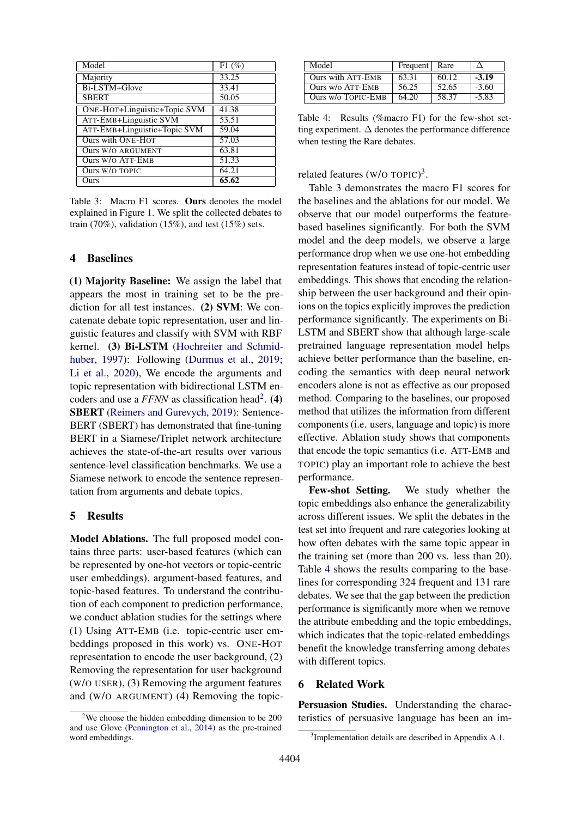<span id="page-3-2"></span>

| Model                               | F1(%)              |
|-------------------------------------|--------------------|
| Majority                            | 33.25              |
| Bi-LSTM+Glove                       | 33.41              |
| <b>SBERT</b>                        | 50.05              |
| <b>ONE-HOT+Linguistic+Topic SVM</b> | $41.\overline{38}$ |
| <b>ATT-EMB+Linguistic SVM</b>       | 53.51              |
| ATT-EMB+Linguistic+Topic SVM        | 59.04              |
| <b>Ours with ONE-HOT</b>            | 57.03              |
| Ours W/O ARGUMENT                   | $63.\overline{81}$ |
| <b>Ours W/O ATT-EMB</b>             | 51.33              |
| Ours W/O TOPIC                      | 64.21              |
| Ours                                | 65.62              |

Table 3: Macro F1 scores. Ours denotes the model explained in Figure [1.](#page-2-2) We split the collected debates to train  $(70\%)$ , validation  $(15\%)$ , and test  $(15\%)$  sets.

### 4 Baselines

(1) Majority Baseline: We assign the label that appears the most in training set to be the prediction for all test instances. (2) SVM: We concatenate debate topic representation, user and linguistic features and classify with SVM with RBF kernel. (3) Bi-LSTM [\(Hochreiter and Schmid](#page-5-8)[huber,](#page-5-8) [1997\)](#page-5-8): Following [\(Durmus et al.,](#page-5-9) [2019;](#page-5-9) [Li et al.,](#page-5-10) [2020\)](#page-5-10), We encode the arguments and topic representation with bidirectional LSTM encoders and use a  $FFNN$  as classification head<sup>[2](#page-3-0)</sup>. (4) SBERT [\(Reimers and Gurevych,](#page-5-7) [2019\)](#page-5-7): Sentence-BERT (SBERT) has demonstrated that fine-tuning BERT in a Siamese/Triplet network architecture achieves the state-of-the-art results over various sentence-level classification benchmarks. We use a Siamese network to encode the sentence representation from arguments and debate topics.

#### 5 Results

Model Ablations. The full proposed model contains three parts: user-based features (which can be represented by one-hot vectors or topic-centric user embeddings), argument-based features, and topic-based features. To understand the contribution of each component to prediction performance, we conduct ablation studies for the settings where (1) Using ATT-EMB (i.e. topic-centric user embeddings proposed in this work) vs. ONE-HOT representation to encode the user background, (2) Removing the representation for user background (W/O USER), (3) Removing the argument features and (W/O ARGUMENT) (4) Removing the topic-

<span id="page-3-3"></span>

| Model                    | Frequent   Rare |       |         |
|--------------------------|-----------------|-------|---------|
| <b>Ours with ATT-EMB</b> | 63.31           | 60.12 | $-3.19$ |
| Ours w/o ATT-EMB         | 56.25           | 52.65 | $-3.60$ |
| Ours w/o TOPIC-EMB       | 64.20           | 58.37 | $-5.83$ |

Table 4: Results (%macro F1) for the few-shot setting experiment.  $\Delta$  denotes the performance difference when testing the Rare debates.

related features (W/O TOPIC)<sup>[3](#page-3-1)</sup>.

Table [3](#page-3-2) demonstrates the macro F1 scores for the baselines and the ablations for our model. We observe that our model outperforms the featurebased baselines significantly. For both the SVM model and the deep models, we observe a large performance drop when we use one-hot embedding representation features instead of topic-centric user embeddings. This shows that encoding the relationship between the user background and their opinions on the topics explicitly improves the prediction performance significantly. The experiments on Bi-LSTM and SBERT show that although large-scale pretrained language representation model helps achieve better performance than the baseline, encoding the semantics with deep neural network encoders alone is not as effective as our proposed method. Comparing to the baselines, our proposed method that utilizes the information from different components (i.e. users, language and topic) is more effective. Ablation study shows that components that encode the topic semantics (i.e. ATT-EMB and TOPIC) play an important role to achieve the best performance.

Few-shot Setting. We study whether the topic embeddings also enhance the generalizability across different issues. We split the debates in the test set into frequent and rare categories looking at how often debates with the same topic appear in the training set (more than 200 vs. less than 20). Table [4](#page-3-3) shows the results comparing to the baselines for corresponding 324 frequent and 131 rare debates. We see that the gap between the prediction performance is significantly more when we remove the attribute embedding and the topic embeddings, which indicates that the topic-related embeddings benefit the knowledge transferring among debates with different topics.

# 6 Related Work

Persuasion Studies. Understanding the characteristics of persuasive language has been an im-

<span id="page-3-0"></span> $2$ We choose the hidden embedding dimension to be 200 and use Glove [\(Pennington et al.,](#page-5-11) [2014\)](#page-5-11) as the pre-trained word embeddings.

<span id="page-3-1"></span><sup>&</sup>lt;sup>3</sup>Implementation details are described in Appendix [A.1.](#page-6-4)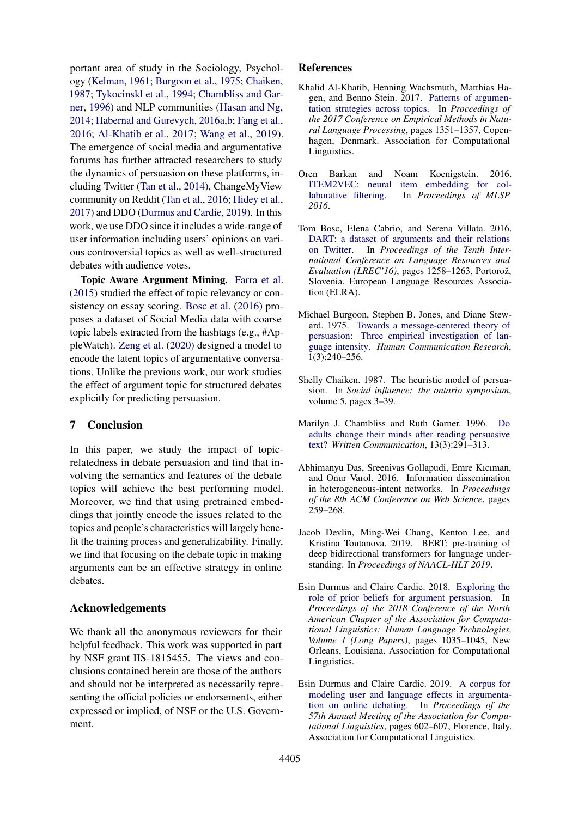portant area of study in the Sociology, Psychology [\(Kelman,](#page-5-12) [1961;](#page-5-12) [Burgoon et al.,](#page-4-5) [1975;](#page-4-5) [Chaiken,](#page-4-6) [1987;](#page-4-6) [Tykocinskl et al.,](#page-6-5) [1994;](#page-6-5) [Chambliss and Gar](#page-4-7)[ner,](#page-4-7) [1996\)](#page-4-7) and NLP communities [\(Hasan and Ng,](#page-5-13) [2014;](#page-5-13) [Habernal and Gurevych,](#page-5-14) [2016a](#page-5-14)[,b;](#page-5-15) [Fang et al.,](#page-5-16) [2016;](#page-5-16) [Al-Khatib et al.,](#page-4-8) [2017;](#page-4-8) [Wang et al.,](#page-6-6) [2019\)](#page-6-6). The emergence of social media and argumentative forums has further attracted researchers to study the dynamics of persuasion on these platforms, including Twitter [\(Tan et al.,](#page-6-7) [2014\)](#page-6-7), ChangeMyView community on Reddit [\(Tan et al.,](#page-6-0) [2016;](#page-6-0) [Hidey et al.,](#page-5-17) [2017\)](#page-5-17) and DDO [\(Durmus and Cardie,](#page-4-3) [2019\)](#page-4-3). In this work, we use DDO since it includes a wide-range of user information including users' opinions on various controversial topics as well as well-structured debates with audience votes.

Topic Aware Argument Mining. [Farra et al.](#page-5-18) [\(2015\)](#page-5-18) studied the effect of topic relevancy or consistency on essay scoring. [Bosc et al.](#page-4-9) [\(2016\)](#page-4-9) proposes a dataset of Social Media data with coarse topic labels extracted from the hashtags (e.g., #AppleWatch). [Zeng et al.](#page-6-8) [\(2020\)](#page-6-8) designed a model to encode the latent topics of argumentative conversations. Unlike the previous work, our work studies the effect of argument topic for structured debates explicitly for predicting persuasion.

# 7 Conclusion

In this paper, we study the impact of topicrelatedness in debate persuasion and find that involving the semantics and features of the debate topics will achieve the best performing model. Moreover, we find that using pretrained embeddings that jointly encode the issues related to the topics and people's characteristics will largely benefit the training process and generalizability. Finally, we find that focusing on the debate topic in making arguments can be an effective strategy in online debates.

# Acknowledgements

We thank all the anonymous reviewers for their helpful feedback. This work was supported in part by NSF grant IIS-1815455. The views and conclusions contained herein are those of the authors and should not be interpreted as necessarily representing the official policies or endorsements, either expressed or implied, of NSF or the U.S. Government.

### References

- <span id="page-4-8"></span>Khalid Al-Khatib, Henning Wachsmuth, Matthias Hagen, and Benno Stein. 2017. [Patterns of argumen](https://doi.org/10.18653/v1/D17-1141)[tation strategies across topics.](https://doi.org/10.18653/v1/D17-1141) In *Proceedings of the 2017 Conference on Empirical Methods in Natural Language Processing*, pages 1351–1357, Copenhagen, Denmark. Association for Computational Linguistics.
- <span id="page-4-2"></span>Oren Barkan and Noam Koenigstein. 2016. [ITEM2VEC: neural item embedding for col](https://doi.org/10.1109/MLSP.2016.7738886)[laborative filtering.](https://doi.org/10.1109/MLSP.2016.7738886) In *Proceedings of MLSP 2016*.
- <span id="page-4-9"></span>Tom Bosc, Elena Cabrio, and Serena Villata. 2016. [DART: a dataset of arguments and their relations](https://www.aclweb.org/anthology/L16-1200) [on Twitter.](https://www.aclweb.org/anthology/L16-1200) In *Proceedings of the Tenth International Conference on Language Resources and Evaluation (LREC'16)*, pages 1258–1263, Portorož, Slovenia. European Language Resources Association (ELRA).
- <span id="page-4-5"></span>Michael Burgoon, Stephen B. Jones, and Diane Steward. 1975. [Towards a message-centered theory of](https://doi.org/https://doi.org/10.1111/j.1468-2958.1975.tb00271.x) [persuasion: Three empirical investigation of lan](https://doi.org/https://doi.org/10.1111/j.1468-2958.1975.tb00271.x)[guage intensity.](https://doi.org/https://doi.org/10.1111/j.1468-2958.1975.tb00271.x) *Human Communication Research*,  $1(3):240 - 256.$
- <span id="page-4-6"></span>Shelly Chaiken. 1987. The heuristic model of persuasion. In *Social influence: the ontario symposium*, volume 5, pages 3–39.
- <span id="page-4-7"></span>Marilyn J. Chambliss and Ruth Garner. 1996. [Do](https://doi.org/10.1177/0741088396013003001) [adults change their minds after reading persuasive](https://doi.org/10.1177/0741088396013003001) [text?](https://doi.org/10.1177/0741088396013003001) *Written Communication*, 13(3):291–313.
- <span id="page-4-1"></span>Abhimanyu Das, Sreenivas Gollapudi, Emre Kıcıman, and Onur Varol. 2016. Information dissemination in heterogeneous-intent networks. In *Proceedings of the 8th ACM Conference on Web Science*, pages 259–268.
- <span id="page-4-4"></span>Jacob Devlin, Ming-Wei Chang, Kenton Lee, and Kristina Toutanova. 2019. BERT: pre-training of deep bidirectional transformers for language understanding. In *Proceedings of NAACL-HLT 2019*.
- <span id="page-4-0"></span>Esin Durmus and Claire Cardie. 2018. [Exploring the](https://doi.org/10.18653/v1/N18-1094) [role of prior beliefs for argument persuasion.](https://doi.org/10.18653/v1/N18-1094) In *Proceedings of the 2018 Conference of the North American Chapter of the Association for Computational Linguistics: Human Language Technologies, Volume 1 (Long Papers)*, pages 1035–1045, New Orleans, Louisiana. Association for Computational Linguistics.
- <span id="page-4-3"></span>Esin Durmus and Claire Cardie. 2019. [A corpus for](https://doi.org/10.18653/v1/P19-1057) [modeling user and language effects in argumenta](https://doi.org/10.18653/v1/P19-1057)[tion on online debating.](https://doi.org/10.18653/v1/P19-1057) In *Proceedings of the 57th Annual Meeting of the Association for Computational Linguistics*, pages 602–607, Florence, Italy. Association for Computational Linguistics.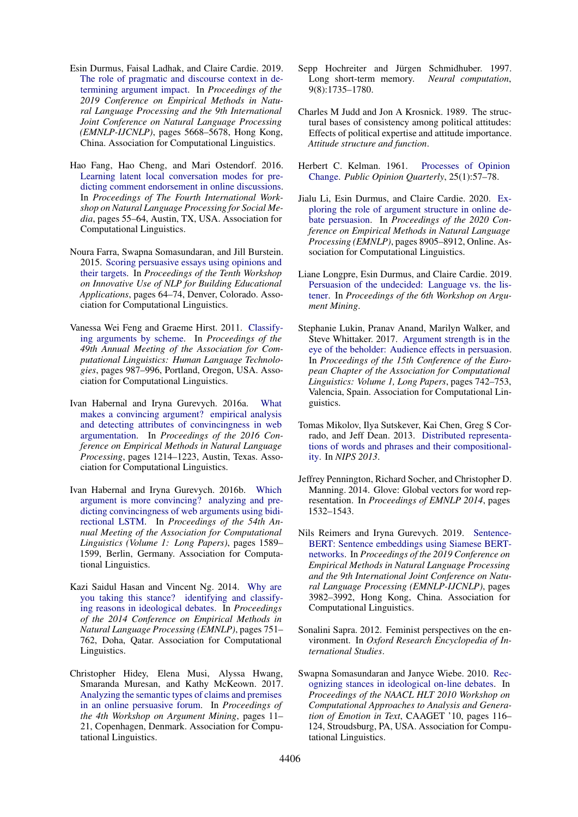- <span id="page-5-9"></span>Esin Durmus, Faisal Ladhak, and Claire Cardie. 2019. [The role of pragmatic and discourse context in de](https://doi.org/10.18653/v1/D19-1568)[termining argument impact.](https://doi.org/10.18653/v1/D19-1568) In *Proceedings of the 2019 Conference on Empirical Methods in Natural Language Processing and the 9th International Joint Conference on Natural Language Processing (EMNLP-IJCNLP)*, pages 5668–5678, Hong Kong, China. Association for Computational Linguistics.
- <span id="page-5-16"></span>Hao Fang, Hao Cheng, and Mari Ostendorf. 2016. [Learning latent local conversation modes for pre](https://doi.org/10.18653/v1/W16-6209)[dicting comment endorsement in online discussions.](https://doi.org/10.18653/v1/W16-6209) In *Proceedings of The Fourth International Workshop on Natural Language Processing for Social Media*, pages 55–64, Austin, TX, USA. Association for Computational Linguistics.
- <span id="page-5-18"></span>Noura Farra, Swapna Somasundaran, and Jill Burstein. 2015. [Scoring persuasive essays using opinions and](https://doi.org/10.3115/v1/W15-0608) [their targets.](https://doi.org/10.3115/v1/W15-0608) In *Proceedings of the Tenth Workshop on Innovative Use of NLP for Building Educational Applications*, pages 64–74, Denver, Colorado. Association for Computational Linguistics.
- <span id="page-5-1"></span>Vanessa Wei Feng and Graeme Hirst. 2011. [Classify](https://www.aclweb.org/anthology/P11-1099)[ing arguments by scheme.](https://www.aclweb.org/anthology/P11-1099) In *Proceedings of the 49th Annual Meeting of the Association for Computational Linguistics: Human Language Technologies*, pages 987–996, Portland, Oregon, USA. Association for Computational Linguistics.
- <span id="page-5-14"></span>Ivan Habernal and Iryna Gurevych. 2016a. [What](https://doi.org/10.18653/v1/D16-1129) [makes a convincing argument? empirical analysis](https://doi.org/10.18653/v1/D16-1129) [and detecting attributes of convincingness in web](https://doi.org/10.18653/v1/D16-1129) [argumentation.](https://doi.org/10.18653/v1/D16-1129) In *Proceedings of the 2016 Conference on Empirical Methods in Natural Language Processing*, pages 1214–1223, Austin, Texas. Association for Computational Linguistics.
- <span id="page-5-15"></span>Ivan Habernal and Iryna Gurevych. 2016b. [Which](https://doi.org/10.18653/v1/P16-1150) [argument is more convincing? analyzing and pre](https://doi.org/10.18653/v1/P16-1150)[dicting convincingness of web arguments using bidi](https://doi.org/10.18653/v1/P16-1150)[rectional LSTM.](https://doi.org/10.18653/v1/P16-1150) In *Proceedings of the 54th Annual Meeting of the Association for Computational Linguistics (Volume 1: Long Papers)*, pages 1589– 1599, Berlin, Germany. Association for Computational Linguistics.
- <span id="page-5-13"></span>Kazi Saidul Hasan and Vincent Ng. 2014. [Why are](https://doi.org/10.3115/v1/D14-1083) [you taking this stance? identifying and classify](https://doi.org/10.3115/v1/D14-1083)[ing reasons in ideological debates.](https://doi.org/10.3115/v1/D14-1083) In *Proceedings of the 2014 Conference on Empirical Methods in Natural Language Processing (EMNLP)*, pages 751– 762, Doha, Qatar. Association for Computational Linguistics.
- <span id="page-5-17"></span>Christopher Hidey, Elena Musi, Alyssa Hwang, Smaranda Muresan, and Kathy McKeown. 2017. [Analyzing the semantic types of claims and premises](https://doi.org/10.18653/v1/W17-5102) [in an online persuasive forum.](https://doi.org/10.18653/v1/W17-5102) In *Proceedings of the 4th Workshop on Argument Mining*, pages 11– 21, Copenhagen, Denmark. Association for Computational Linguistics.
- <span id="page-5-8"></span>Sepp Hochreiter and Jürgen Schmidhuber. 1997. Long short-term memory. *Neural computation*, 9(8):1735–1780.
- <span id="page-5-2"></span>Charles M Judd and Jon A Krosnick. 1989. The structural bases of consistency among political attitudes: Effects of political expertise and attitude importance. *Attitude structure and function*.
- <span id="page-5-12"></span>Herbert C. Kelman. 1961. [Processes of Opinion](https://doi.org/10.1086/266996) [Change.](https://doi.org/10.1086/266996) *Public Opinion Quarterly*, 25(1):57–78.
- <span id="page-5-10"></span>Jialu Li, Esin Durmus, and Claire Cardie. 2020. [Ex](https://www.aclweb.org/anthology/2020.emnlp-main.716)[ploring the role of argument structure in online de](https://www.aclweb.org/anthology/2020.emnlp-main.716)[bate persuasion.](https://www.aclweb.org/anthology/2020.emnlp-main.716) In *Proceedings of the 2020 Conference on Empirical Methods in Natural Language Processing (EMNLP)*, pages 8905–8912, Online. Association for Computational Linguistics.
- <span id="page-5-5"></span>Liane Longpre, Esin Durmus, and Claire Cardie. 2019. [Persuasion of the undecided: Language vs. the lis](https://doi.org/10.18653/v1/W19-4519)[tener.](https://doi.org/10.18653/v1/W19-4519) In *Proceedings of the 6th Workshop on Argument Mining*.
- <span id="page-5-0"></span>Stephanie Lukin, Pranav Anand, Marilyn Walker, and Steve Whittaker. 2017. [Argument strength is in the](https://www.aclweb.org/anthology/E17-1070) [eye of the beholder: Audience effects in persuasion.](https://www.aclweb.org/anthology/E17-1070) In *Proceedings of the 15th Conference of the European Chapter of the Association for Computational Linguistics: Volume 1, Long Papers*, pages 742–753, Valencia, Spain. Association for Computational Linguistics.
- <span id="page-5-4"></span>Tomas Mikolov, Ilya Sutskever, Kai Chen, Greg S Corrado, and Jeff Dean. 2013. [Distributed representa](http://papers.nips.cc/paper/5021-distributed-representations-of-words-and-phrases-and-their-compositionality.pdf)[tions of words and phrases and their compositional](http://papers.nips.cc/paper/5021-distributed-representations-of-words-and-phrases-and-their-compositionality.pdf)[ity.](http://papers.nips.cc/paper/5021-distributed-representations-of-words-and-phrases-and-their-compositionality.pdf) In *NIPS 2013*.
- <span id="page-5-11"></span>Jeffrey Pennington, Richard Socher, and Christopher D. Manning. 2014. Glove: Global vectors for word representation. In *Proceedings of EMNLP 2014*, pages 1532–1543.
- <span id="page-5-7"></span>Nils Reimers and Iryna Gurevych. 2019. [Sentence-](https://doi.org/10.18653/v1/D19-1410)[BERT: Sentence embeddings using Siamese BERT](https://doi.org/10.18653/v1/D19-1410)[networks.](https://doi.org/10.18653/v1/D19-1410) In *Proceedings of the 2019 Conference on Empirical Methods in Natural Language Processing and the 9th International Joint Conference on Natural Language Processing (EMNLP-IJCNLP)*, pages 3982–3992, Hong Kong, China. Association for Computational Linguistics.
- <span id="page-5-3"></span>Sonalini Sapra. 2012. Feminist perspectives on the environment. In *Oxford Research Encyclopedia of International Studies*.
- <span id="page-5-6"></span>Swapna Somasundaran and Janyce Wiebe. 2010. [Rec](http://dl.acm.org/citation.cfm?id=1860631.1860645)[ognizing stances in ideological on-line debates.](http://dl.acm.org/citation.cfm?id=1860631.1860645) In *Proceedings of the NAACL HLT 2010 Workshop on Computational Approaches to Analysis and Generation of Emotion in Text*, CAAGET '10, pages 116– 124, Stroudsburg, PA, USA. Association for Computational Linguistics.